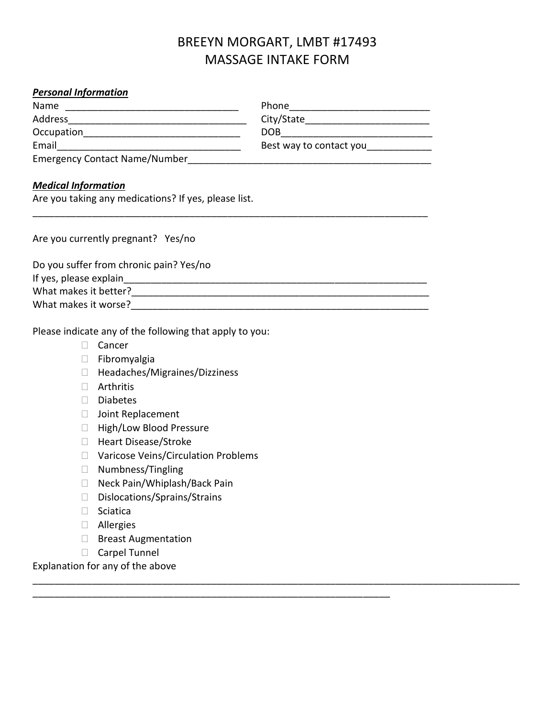## BREEYN MORGART, LMBT #17493 MASSAGE INTAKE FORM

\_\_\_\_\_\_\_\_\_\_\_\_\_\_\_\_\_\_\_\_\_\_\_\_\_\_\_\_\_\_\_\_\_\_\_\_\_\_\_\_\_\_\_\_\_\_\_\_\_\_\_\_\_\_\_\_\_\_\_\_\_\_\_\_\_\_\_\_\_\_\_\_\_\_\_\_\_\_\_\_\_\_\_\_\_\_\_\_\_\_

\_\_\_\_\_\_\_\_\_\_\_\_\_\_\_\_\_\_\_\_\_\_\_\_\_\_\_\_\_\_\_\_\_\_\_\_\_\_\_\_\_\_\_\_\_\_\_\_\_\_\_\_\_\_\_\_\_\_\_\_\_\_\_\_\_\_

## *Personal Information*

| Name                                 | Phone                   |
|--------------------------------------|-------------------------|
| Address                              | City/State              |
| Occupation                           | DOB                     |
| Email                                | Best way to contact you |
| <b>Emergency Contact Name/Number</b> |                         |

\_\_\_\_\_\_\_\_\_\_\_\_\_\_\_\_\_\_\_\_\_\_\_\_\_\_\_\_\_\_\_\_\_\_\_\_\_\_\_\_\_\_\_\_\_\_\_\_\_\_\_\_\_\_\_\_\_\_\_\_\_\_\_\_\_\_\_\_\_\_\_\_\_

## *Medical Information*

Are you taking any medications? If yes, please list.

Are you currently pregnant? Yes/no

Do you suffer from chronic pain? Yes/no

|  | If yes, please explain |  |  |
|--|------------------------|--|--|
|  |                        |  |  |

What makes it better?\_\_\_\_\_\_\_\_\_\_\_\_\_\_\_\_\_\_\_\_\_\_\_\_\_\_\_\_\_\_\_\_\_\_\_\_\_\_\_\_\_\_\_\_\_\_\_\_\_\_\_\_\_\_\_

What makes it worse?\_\_\_\_\_\_\_\_\_\_\_\_\_\_\_\_\_\_\_\_\_\_\_\_\_\_\_\_\_\_\_\_\_\_\_\_\_\_\_\_\_\_\_\_\_\_\_\_\_\_\_\_\_\_\_

Please indicate any of the following that apply to you:

- □ Cancer
- Fibromyalgia
- □ Headaches/Migraines/Dizziness
- Arthritis
- Diabetes
- □ Joint Replacement
- □ High/Low Blood Pressure
- □ Heart Disease/Stroke
- □ Varicose Veins/Circulation Problems
- □ Numbness/Tingling
- □ Neck Pain/Whiplash/Back Pain
- □ Dislocations/Sprains/Strains
- □ Sciatica
- Allergies
- □ Breast Augmentation
- Carpel Tunnel

Explanation for any of the above